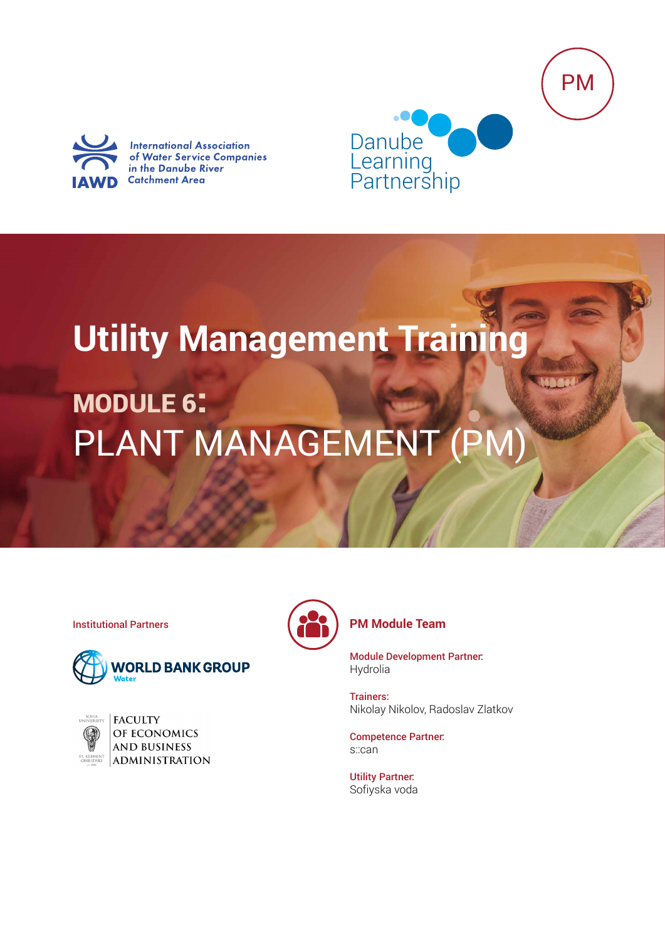



**International Association** of Water Service Companies in the Danube River **Catchment Area** 



# **Utility Management Training**

## MODULE 6: PLANT MANAGEMENT (PM)



| <b>UNIVERSITY</b>              |
|--------------------------------|
|                                |
| ST. KLIMEN'<br><b>OHRIDSKI</b> |

**FACULTY** OF ECONOMICS **AND BUSINESS** ADMINISTRATION



### **Institutional Partners PM Module Team**

Module Development Partner: Hydrolia

Trainers: Nikolay Nikolov, Radoslav Zlatkov

Competence Partner: s::can

Utility Partner: Sofiyska voda